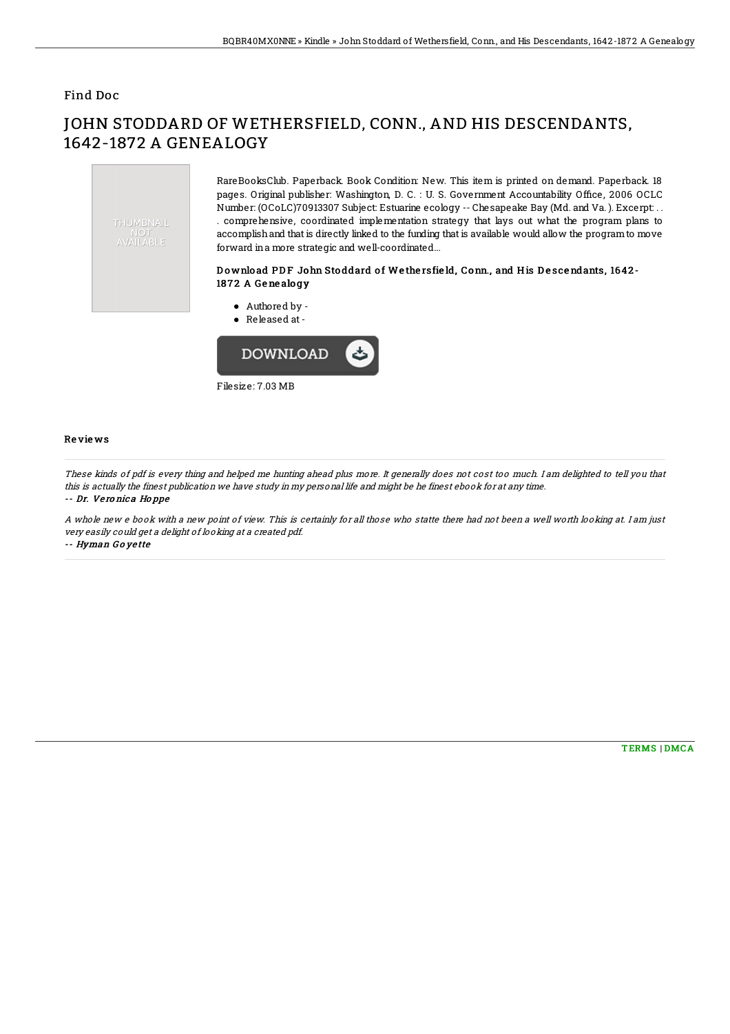## Find Doc

# JOHN STODDARD OF WETHERSFIELD, CONN., AND HIS DESCENDANTS, 1642-1872 A GENEALOGY



RareBooksClub. Paperback. Book Condition: New. This item is printed on demand. Paperback. 18 pages. Original publisher: Washington, D. C. : U. S. Government Accountability Office, 2006 OCLC Number: (OCoLC)70913307 Subject: Estuarine ecology -- Chesapeake Bay (Md. and Va. ). Excerpt: . . . comprehensive, coordinated implementation strategy that lays out what the program plans to accomplishand that is directly linked to the funding that is available would allow the programto move forward ina more strategic and well-coordinated...

### Download PDF John Stoddard of Wethersfield, Conn., and His Descendants, 1642-1872 A Genealogy

Authored by - Released at-**DOWNLOAD** 

Filesize: 7.03 MB

#### Re vie ws

These kinds of pdf is every thing and helped me hunting ahead plus more. It generally does not cost too much. I am delighted to tell you that this is actually the finest publication we have study in my personal life and might be he finest ebook for at any time. -- Dr. Ve ro nic <sup>a</sup> Ho ppe

A whole new <sup>e</sup> book with <sup>a</sup> new point of view. This is certainly for all those who statte there had not been <sup>a</sup> well worth looking at. I am just very easily could get <sup>a</sup> delight of looking at <sup>a</sup> created pdf.

#### -- Hyman G <sup>o</sup> ye tte